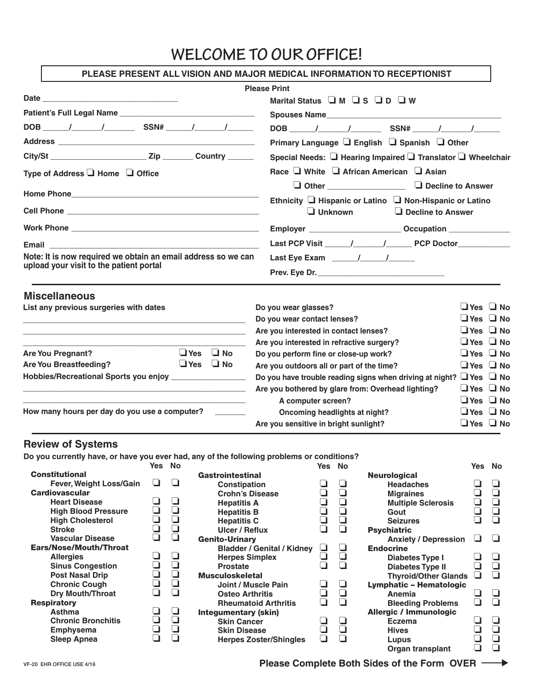# **WELCOME TO OUR OFFICE!**

| PLEASE PRESENT ALL VISION AND MAJOR MEDICAL INFORMATION TO RECEPTIONIST                                                                                                                                                                                                                  |                  |                                                             |                                                                                                                           |                     |                                                                                                                                                                                                                                                                                                                                                                                       |                  |                                 |                                                                     |                                                                               |                                                                                                                                                                                                                                              |                     |
|------------------------------------------------------------------------------------------------------------------------------------------------------------------------------------------------------------------------------------------------------------------------------------------|------------------|-------------------------------------------------------------|---------------------------------------------------------------------------------------------------------------------------|---------------------|---------------------------------------------------------------------------------------------------------------------------------------------------------------------------------------------------------------------------------------------------------------------------------------------------------------------------------------------------------------------------------------|------------------|---------------------------------|---------------------------------------------------------------------|-------------------------------------------------------------------------------|----------------------------------------------------------------------------------------------------------------------------------------------------------------------------------------------------------------------------------------------|---------------------|
|                                                                                                                                                                                                                                                                                          |                  |                                                             |                                                                                                                           | <b>Please Print</b> |                                                                                                                                                                                                                                                                                                                                                                                       |                  |                                 |                                                                     |                                                                               |                                                                                                                                                                                                                                              |                     |
|                                                                                                                                                                                                                                                                                          |                  |                                                             |                                                                                                                           |                     | Marital Status IM IS ID IW                                                                                                                                                                                                                                                                                                                                                            |                  |                                 |                                                                     |                                                                               |                                                                                                                                                                                                                                              |                     |
|                                                                                                                                                                                                                                                                                          |                  |                                                             |                                                                                                                           |                     |                                                                                                                                                                                                                                                                                                                                                                                       |                  |                                 |                                                                     | Spouses Name                                                                  |                                                                                                                                                                                                                                              |                     |
|                                                                                                                                                                                                                                                                                          |                  |                                                             |                                                                                                                           |                     |                                                                                                                                                                                                                                                                                                                                                                                       |                  |                                 |                                                                     |                                                                               |                                                                                                                                                                                                                                              |                     |
|                                                                                                                                                                                                                                                                                          |                  |                                                             |                                                                                                                           |                     |                                                                                                                                                                                                                                                                                                                                                                                       |                  |                                 |                                                                     | Primary Language □ English □ Spanish □ Other                                  |                                                                                                                                                                                                                                              |                     |
|                                                                                                                                                                                                                                                                                          |                  |                                                             |                                                                                                                           |                     |                                                                                                                                                                                                                                                                                                                                                                                       |                  |                                 |                                                                     | Special Needs: □ Hearing Impaired □ Translator □ Wheelchair                   |                                                                                                                                                                                                                                              |                     |
| Type of Address ■ Home ■ Office                                                                                                                                                                                                                                                          |                  |                                                             |                                                                                                                           |                     | Race $\Box$ White $\Box$ African American $\Box$ Asian                                                                                                                                                                                                                                                                                                                                |                  |                                 |                                                                     |                                                                               |                                                                                                                                                                                                                                              |                     |
|                                                                                                                                                                                                                                                                                          |                  |                                                             |                                                                                                                           |                     |                                                                                                                                                                                                                                                                                                                                                                                       |                  |                                 |                                                                     |                                                                               |                                                                                                                                                                                                                                              |                     |
|                                                                                                                                                                                                                                                                                          |                  |                                                             |                                                                                                                           |                     |                                                                                                                                                                                                                                                                                                                                                                                       |                  |                                 |                                                                     | Ethnicity I Hispanic or Latino I Non-Hispanic or Latino                       |                                                                                                                                                                                                                                              |                     |
|                                                                                                                                                                                                                                                                                          |                  |                                                             |                                                                                                                           |                     |                                                                                                                                                                                                                                                                                                                                                                                       |                  | $\Box$ Unknown                  |                                                                     | $\Box$ Decline to Answer                                                      |                                                                                                                                                                                                                                              |                     |
|                                                                                                                                                                                                                                                                                          |                  |                                                             |                                                                                                                           |                     |                                                                                                                                                                                                                                                                                                                                                                                       |                  |                                 |                                                                     |                                                                               |                                                                                                                                                                                                                                              |                     |
|                                                                                                                                                                                                                                                                                          |                  |                                                             |                                                                                                                           |                     |                                                                                                                                                                                                                                                                                                                                                                                       |                  |                                 |                                                                     |                                                                               |                                                                                                                                                                                                                                              |                     |
| Note: It is now required we obtain an email address so we can                                                                                                                                                                                                                            |                  |                                                             |                                                                                                                           |                     | Last Eye Exam $\frac{1}{\sqrt{1-\frac{1}{2}}}\frac{1}{\sqrt{1-\frac{1}{2}}}}$                                                                                                                                                                                                                                                                                                         |                  |                                 |                                                                     |                                                                               |                                                                                                                                                                                                                                              |                     |
| upload your visit to the patient portal                                                                                                                                                                                                                                                  |                  |                                                             |                                                                                                                           |                     | Prev. Eye Dr.                                                                                                                                                                                                                                                                                                                                                                         |                  |                                 |                                                                     |                                                                               |                                                                                                                                                                                                                                              |                     |
| List any previous surgeries with dates<br><u> 1989 - Johann John Stein, mars an deutscher Stein († 1958)</u><br><b>Are You Pregnant?</b><br><b>Are You Breastfeeding?</b><br>Hobbies/Recreational Sports you enjoy ____________________<br>How many hours per day do you use a computer? |                  |                                                             | $\Box$ Yes $\Box$ No<br>$\bigcup$ Yes $\bigcup$ No<br><u> 1989 - Johann Stein, mars an deus Amerikaansk kommunister (</u> |                     | Do you wear glasses?<br>Do you wear contact lenses?<br>Are you interested in contact lenses?<br>Are you interested in refractive surgery?<br>Do you perform fine or close-up work?<br>Are you outdoors all or part of the time?<br>Are you bothered by glare from: Overhead lighting?<br>A computer screen?<br>Oncoming headlights at night?<br>Are you sensitive in bright sunlight? |                  |                                 |                                                                     | Do you have trouble reading signs when driving at night? $\Box$ Yes $\Box$ No | $\Box$ Yes $\Box$ No<br>$\Box$ Yes $\Box$ No<br>$\Box$ Yes $\Box$ No<br>$\Box$ Yes $\Box$ No<br>$\Box$ Yes $\Box$ No<br>$\Box$ Yes $\Box$ No<br>$\Box$ Yes $\Box$ No<br>$\Box$ Yes $\Box$ No<br>$\Box$ Yes $\Box$ No<br>$\Box$ Yes $\Box$ No |                     |
| <b>Review of Systems</b>                                                                                                                                                                                                                                                                 |                  |                                                             |                                                                                                                           |                     |                                                                                                                                                                                                                                                                                                                                                                                       |                  |                                 |                                                                     |                                                                               |                                                                                                                                                                                                                                              |                     |
| Do you currently have, or have you ever had, any of the following problems or conditions?                                                                                                                                                                                                | Yes No           |                                                             |                                                                                                                           |                     |                                                                                                                                                                                                                                                                                                                                                                                       | Yes No           |                                 |                                                                     |                                                                               |                                                                                                                                                                                                                                              | Yes No              |
| <b>Constitutional</b><br>Fever, Weight Loss/Gain<br><b>Cardiovascular</b><br><b>Heart Disease</b><br><b>High Blood Pressure</b>                                                                                                                                                          | $\Box$<br>❏<br>❏ | ❏<br>❏<br>$\begin{array}{c} \square \\ \square \end{array}$ | Gastrointestinal<br><b>Constipation</b><br><b>Crohn's Disease</b><br><b>Hepatitis A</b><br><b>Hepatitis B</b>             |                     |                                                                                                                                                                                                                                                                                                                                                                                       | ❏<br>$\Box$      | ❏<br>$\Box$<br>$\Box$<br>$\Box$ | <b>Neurological</b><br><b>Headaches</b><br><b>Migraines</b><br>Gout | <b>Multiple Sclerosis</b>                                                     | ❏<br>3                                                                                                                                                                                                                                       | $\Box$<br>$\bar{q}$ |
| <b>High Cholesterol</b><br><b>Stroke</b>                                                                                                                                                                                                                                                 | $\Box$<br>❏      |                                                             | <b>Hepatitis C</b><br><b>Ulcer / Reflux</b>                                                                               |                     |                                                                                                                                                                                                                                                                                                                                                                                       | $\Box$<br>$\Box$ | $\Box$<br>$\Box$                | <b>Seizures</b><br><b>Psychiatric</b>                               |                                                                               |                                                                                                                                                                                                                                              |                     |
| <b>Vascular Disease</b><br><b>Ears/Nose/Mouth/Throat</b>                                                                                                                                                                                                                                 | $\Box$           | $\overline{a}$                                              | <b>Genito-Urinary</b>                                                                                                     |                     | <b>Bladder / Genital / Kidney</b>                                                                                                                                                                                                                                                                                                                                                     | ⊔                | ❏                               | <b>Endocrine</b>                                                    | <b>Anxiety / Depression</b>                                                   |                                                                                                                                                                                                                                              | $\Box$              |
| <b>Allergies</b><br><b>Sinus Congestion</b>                                                                                                                                                                                                                                              | ⊔<br>□           | ⊔<br>❏                                                      | <b>Herpes Simplex</b><br><b>Prostate</b>                                                                                  |                     |                                                                                                                                                                                                                                                                                                                                                                                       | ⊔                | ❏<br>П                          | Diabetes Type I<br><b>Diabetes Type II</b>                          |                                                                               |                                                                                                                                                                                                                                              |                     |

**Joint / Muscle Pain**<br> **Osteo Arthritis**<br> **Q\_ Q\_ Q\_ Q\_ Q\_ Q\_ Q\_** 

**Skin Cancer**<br>
Skin Cancer<br>
Skin Disease Q<br>
Herpes Zoster/Shingles Q **Skin Disease** ❏ ❏

**Herpes Zoster/Shingles** 

**Prostate** Musculoskeletal

> **Osteo Arthritis Rheumatoid Arthritis**

Integumentary (skin)

#### VF-20 EHR OFFICE USE 4/16

**Respiratory** 

**Sinus Congestion Post Nasal Drip Chronic Cough Dry Mouth/Throat** 

**Chronic Bronchitis** ❏ ❏ **Emphysema Sleep Apnea** 

**Allergies** ❏ ❏

**Asthma** ❏ ❏

**Hives** ❏ ❏

**Diabetes Type I** <del></del> **□** □<br>Diabetes Type II **□** □<br>Thyroid/Other Glands □ □

**Anemia** ❏ ❏

**Eczema**<br> **Eczema**<br> **Eczema**<br> **Eupus**<br> **Lupus** 

**Lupus** ❏ ❏

**Thyroid/Other Glands** ❏ ❏

Diabetes Type II

Lymphatic – Hematologic

**Bleeding Problems** Allergic / Immunologic

**Organ transplant**